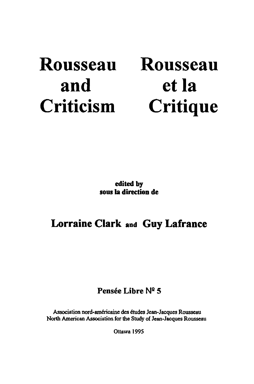# Rousseau and Criticism

Rousseau et la **Critique** 

edited by sous la direction de

## Lorraine Clark and Guy Lafrance

## Pensée Libre N2 5

Association nord-américaine des études Jean-Jacques Rousseau North American Association for the Study of Jean-Jacques Rousseau

Ottawa 1995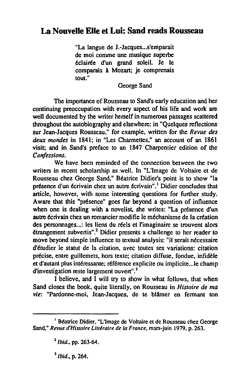## **La Nouvelle Elle et Lui: Sand reads Rousseau**

"La langue de J.-Jacques... s'emparait de moi comme une musique superbe éclairée d'un grand soleil. Je le comparais à Mozart; je comprenais tout."

George Sand

The importance of Rousseau to Sand's early education and her continuing preoccupation with every aspect of his life and work are well documented by the writer herself in numerous passages scattered throughout the autobiography and elsewhere: in "Quelques reflections sur Jean-Jacques Rousseau," for example, written for the *Revue des deux mondes* in 1841; in "Les Charmettes," an account of an 1861 visil; and in Sand's preface to an 1847 Charpentier edition of the *Confessions.* 

We have been reminded of the connection between the two writers in recent scholarship as weil. In "L'Image de Voltaire et de Rousseau chez George Sand," Béatrice Didier's point is to show "la présence d'un écrivain chez un autre écrivain".<sup>1</sup> Didier concludes that article, however, with some interesting questions for further study. Aware that this "présence" goes far beyond a question of influence when one is dealing with a novelist, she writes: "La présence d'un autre écrivain chez un romancier modifie le méchanisme de la création des personnages...: les liens du réels et l'imaginaire se trouvent alors étrangement subvertis".2 Didier presents a challenge to her reader to move beyond simple influence to textual analysis: "il serait nécessaire d'étudier le statut de la citation, avec toutes ses variations: citation précise, entre guillemets, hors texte; citation diffuse, fondue, infidèle et d'autant plus intéressante; référence explicite ou implicite .. Je champ d'investigation reste largement ouvert".<sup>3</sup>

1 believe, and 1 will try to show in what follows, that when Sand closes the book, quite literally, on Rousseau in *Histoire de ma vie:* "Pardonne-moi. Jean-Jacques, de te blâmer en fennant ton

<sup>1</sup>Béatrice Didier, "L'Image de Voltaire el de Rousseau chez George Sand." *Revue d'Histoire Littéraire de la France,* mars-juin 1979, p. 263.

*<sup>2</sup> Ibid.,* pp. 263-64.

<sup>3</sup> *Ibid .•* p. 264.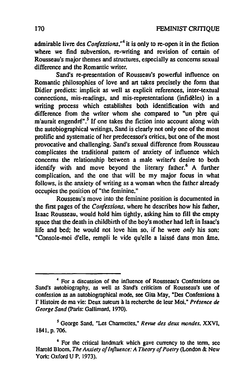admirable livre des *Confessions*,<sup>44</sup> it is only to re-open it in the fiction where we find subversion, re-writing and revision of certain of Rousseau's major themes and structures. especially as concems sexual difference and the Romantic writer.

Sand's re-presentation of Rousseau's powerful influence on Romantic philosophies of love and art takes precisely the form that Didier predicts: implicit as weil as explicit references. inter-textual connections. mis-readings. and mis-representations (infidèles) in a writing process which establishes both identification with and difference from the writer whom she compared to "un père qui m'aurait engendré".<sup>5</sup> If one takes the fiction into account along with the autobiographical writings. Sand is clearly not only one of the most prolific and systematic of her predecessor's critics, but one of the most provocative and challenging. Sand's sexual difference from Rousseau complicates the traditional pattern of anxiety of influence which concems the relationship between a male writer's desire to both identify with and move beyond the literary father.<sup>6</sup> A further complication, and the one that will be my major focus in what follows, is the anxiety of writing as a woman when the father already occupies the position of "the feminine."

Rousseau's move into the feminine position is documented in the first pages of the *Confessions.* where he describes how his father. Isaac Rousseau. would hold him tightly. asking him to fill the empty space that the death in childbirth of the boy's mother had left in Isaac's life and hed; he would not love him so, if he were *only* his son: "Console-moi d'elle, rempli le vide qu'elle a laissé dans mon âme.

<sup>4</sup> For a discussion of the influence of Rousseau's Confessions on Sand's autobiography, as well as Sand's criticism of Rousseau's use of confession as an autobiogrnphical mode, see Gila May. "Des Confessions à l'Histoire de ma vie: Deux auteurs à la recherche de leur Moi," Présence de *George Sand* (paris: Gallimard, 1970).

S George Sand, "Les Charmettes," *Revue des deux mondes,* XXVI, 1841, p. 706.

<sup>6</sup> For the critical landmark which gave currency to the term, see Harold Bloom, *The Anxiety of Influence: A Theory of Poelry* (London & New York: Oxford U P, 1973).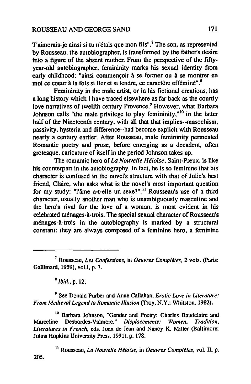#### ROUSSEAU AND GEORGE SAND 171

T'aimerais-je ainsi si tu n'étais que mon fils".<sup>7</sup> The son, as represented by Rousseau, the autobiographer, is transfonned by the father's desire into a figure of the absent mother. From the perspective of the fiftyyear-old autobiographer, femininity marks his sexual identity from early childhood: "ainsi commençoit à se fonner ou à se montrer en moi ce coeur à la fois si fier et si tendre. ce caractère efféminé".8

Femininity in the male artist, or in his fictional creations, has a long history which 1 have traced elsewhere as far back as the courtly love narratives of twelfth century Provence.<sup>9</sup> However, what Barbara Johnson calls "the male privilege to play femininity,"<sup>10</sup> in the latter half of the Nineteenth century, with all that that implies--masochism, passivity, hysteria and difference--had become explicit with Rousseau nearly a century eartier. After Rousseau, male femininity penneated Romantic poetry and prose, before emerging as a decadent, often grotesque, caricature of itself in the period Johnson takes up.

The romantic hero of *La Nouvelle Héloise,* Saint-Preux, is like his counterpart in the autobiography. In fact, he is so feminine that his characler is confused in the novel's slructure with that of Julie's best friend. Claire, who asks what is the novel's most important question for my study: "l'âme a-t-elle un sexe?".<sup>11</sup> Rousseau's use of a third character, usually another man who is unambiguously masculine and the hero's rival for the love of a woman, is most evident in bis celebrated ménages-à-trois. The special sexual characler of Rousseau's ménages-à-trois in the autobiography is marked by a structural constant: they are always composed of a feminine hero, a feminine

<sup>7</sup> Rousseau, *Les Confessions*, in *Oeuvres Complètes*, 2 vols. (Paris: Gallimard, 1959), vol.l. p. 7.

<sup>8</sup>*Ibid.,* p. 12.

9 See Donald Furber and Anne Callahan, *Erotic Love in Literature: From Medieval Legend to Romantic Illusion* (Troy, N.Y.: Whitston, 1982).

<sup>10</sup> Barbara Johnson, "Gender and Poetry: Charles Baudelaire and<br>le Desbordes-Valmore." *Displacements: Women. Tradition.* Marceline Desbordes-Valmore," *Displacements: Women*, *Uteratures in French,* eds. Joan de Jean and Nancy K. Miller (Baltimore: Johns Hopkins University Press. 1991), p. 178.

<sup>11</sup> Rousseau, *La Nouvelle Héloïse*, in *Oeuvres Complètes*, vol. II, p. 206.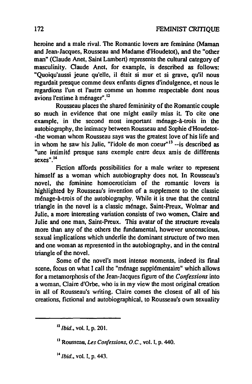heroine and a male rival. The Romantic lovers are feminine (Maman and Jean-Jacques, Rousseau and Madame d'Houdetot), and the "other man" (Claude Anet, Saint Lambert) represents the cultural category of masculinity. Claude Anet, for example, is described as follows: "Quoiqu'aussi jeune qu'elle, il était si mur et si grave. qu'il nous regardait presque comme deux enfants dignes d'indulgence, et nous le regardions l'un et l'autre comme un homme respectable dont nous avions l'estime à ménager" . 12

Rousseau places the shared femininity of the Romantic couple so much in evidence that one might easily miss it. To cite one example, in the second most important ménage-à-trois in the autobiography, the intimacy between Rousseau and Sophie d'Houdetot- -the woman whom Rousseau says was the greatest love of bis life and in whom he saw his Julie, "l'idole de mon coeur" $13$  --is described as "une intimité presque sans exemple entre deux amis de différents sexes".<sup>14</sup>

Fiction affords possibilities for a male writer to represent himself as a woman which autobiography does not. In Rousseau's novel, the feminine homoeroticism of the romantic lovers is highlighted by Rousseau's invention of a supplement to the classic ménage-à-trois of the autobiography. White it is true that the central triangle in the novel is a classic ménage, Saint-Preux, Wolmar and Julie, a more interesting variation consists of two women, Claire and Julie and one man, Saint-Preux. This avatar of the structure reveals more than any of the others the fundamental, however unconscious, sexual implications which underlie the dominant structure of two men and one woman as represented in the autobiography, and in the central triangle of the novel.

Some of the novel's most intense moments, indeed its final scene. focus on what 1 cali the "ménage supplémentaire" which allows for a metamorphosis of the Jean-Jacques figure of the *Confessions* into a woman, Claire d'Orbe, who is in my view the most original creation in ail of Rousseau's writing. Claire comes the closest of ail of bis creations, fictional and autobiographieal. to Rousseau's own sexuality

 $^{12}$  *Ibid.*, vol. I, p. 201.

<sup>&</sup>lt;sup>13</sup> Rousseau, *Les Confessions, O.C.*, vol. I, p. 440.

<sup>&</sup>lt;sup>14</sup> *Ibid.*, vol. I, p. 443.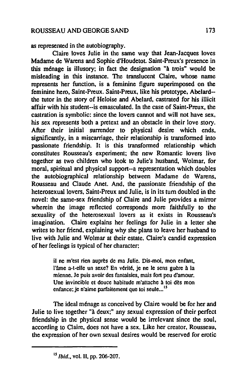as represented in the autobiography.

Claire loves Julie in the same way that Jean-Jacques loves Madame de Warens and Sophie d'Houdetot. Saint-Preux's presence in this ménage is ilIusory; in fact the designation "à trois" would he misleading in this instance. The translucent Claire. whose name represents her function, is a feminine figure superimposed on the feminine hero. Saint-Preux. Saint-Preux, like his prototype. Abelard- the tutor in the story of Heloise and Abelard, castrated for his illicit affair with his student--is emasculated. In the case of Saint-Preux, the castration is symbolic: since the lovers cannot and will not have sex, his sex represents bath a pretext and an obstacle in their love story. After their initial surrender to physical desire which ends, significantly, in a miscarriage, their relationship is transformed into passionate friendship. It is this transformed relationship which constitutes Rousseau's experiment; the new Romantic lovers live together as two children who look to Julie's husband, Wolmar, for moral, spiritual and physical support--a representation which doubles the autobiographical relationship hetween Madame de Warens, Rousseau and Claude Anet. And, the passionate friendship of the heterosexual lovers, Saint-Preux and Julie, is in its turn doubled in the novel: the same-sex friendship of Claire and Julie provides a mirror wherein the image reflected corresponds more faithfully to the sexuality of the heterosexual lovers as it exists in Rousseau's imagination. Claire explains her feelings for Julie in a letter she writes to her friend, explaining why she plans to leave her husband to live with Julie and Wolmar at their estate. Claire's candid expression of her feelings is typical of her character:

> il ne m'est rien auprès de ma Julie. Dis-moi, mon enfant. l'âme a-t-elle un sexe? En vérité, je ne le sens guère à la mienne. Je puis avoir des fantaisies, mais fort peu d'amour, Une invincible et douce habitude m'attache à toi dès mon enfance; je n'aime parfaitement que toi seule...<sup>15</sup>

The ideal ménage as conceived by Claire would be for her and Julie to live together "à deux;" any sexual expression of their perfect friendship in the physical sense would he irrelevant since the soul, according to Claire, does not have a sex. Like her creator, Rousseau, the expression of her own sexual desires would be reserved for erotic

<sup>&</sup>lt;sup>15</sup> *Ibid.*, vol. II, pp. 206-207.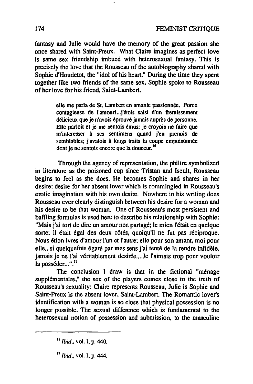fantasy and Julie would have the memory of the great passion she once shared with Saint-Preux. What Claire imagines as perfect love is same sex friendship imbued with heterosexual fantasy. This is precisely the love that the Rousseau of the autobiography shared with Sophie d'Houdetot. the "idol of his heart." During the time they spent together like two friends of the same sex. Sophie spoke to Rousseau of her love for his friend, Saint-Lambert.

> elle me parla de St. Lambert en amante passionnée. Force contagieuse de l'amour!... j'étois saisi d'un fremissement délicieux que je n'avois éprouvé jamais auprès de personne. Elle parloit et je me sentois émus: je croyais ne faire que m'interesser à ses sentimens quand j'en prenois de semblables; j'avalois à longs traits la coupe empoisonnée dont je ne sentois encore que la douceur.<sup>16</sup>

Through the agency of representation, the philtre symbolized in literature as the poisoned cup since Tristan and Iseult. Rousseau begins 10 feel as she does. He becomes Sophie and shares in her desire: desire for her absent lover which is commingled in Rousseau's erotic imagination with his own desire. Nowhere in his writing does Rousseau ever clearly distinguish between his desire for a woman and his desire to be that woman. One of Rousseau's most persistent and baffling formulas is used here to describe his relationship with Sophie: "Mais j'ai tort de dire un amour non partagé: le mien l'était en quelque sorte; il était égal des deux côtés, quoiqu'il ne fut pas réciproque. Nous étion ivres d'amour l'un et l'autre; elle pour son amant. moi pour elle ... si quelquefois égaré par mes sens j'ai tenté de la rendre infidèle. jamais je ne l'ai véritablement desirée....Je l'aimais trop pour vouloir la posséder...".<sup>17</sup>

The conclusion I draw is that in the fictional "ménage supplémentaire," the sex of the players comes close to the truth of Rousseau's sexuality: Claire represents Rousseau, Julie is Sophie and Saint-Preux is the absent lover, Saint-Lambert. The Romantic lover's identification with a woman is so close that physical possession is no longer possible. The sexual difference which is fundamental to the heterosexual notion of possession and submission, to the masculine

*l'Ibid.,* vol. l, p. 440.

<sup>11</sup> *Ibid.,* vol. l, p. 444.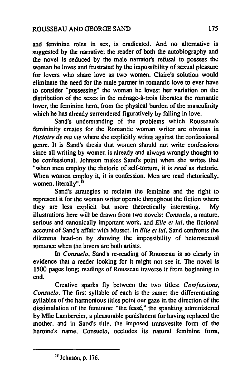and feminine roles in sex, is eradicated. And no alternative is suggested by the narrative; the reader of both the autobiography and the novel is seduced by the male narrator's refusal to possess the woman he loves and frustrated by the impossibility of sexual pleasure for lovers who share love as two women. Claire's solution would eliminate the need for the male partner in romantic love to ever have 10 consider "possessing" the woman he loves: her variation on the distribution of the sexes in the ménage-à-trois liberates the romantie lover, the feminine hem. from the physical burden of the masculinity which he has already surrendered figuratively by falling in love.

Sand's understanding of the problems which Rousseau's femininity creates for the Romantic woman writer are obvious in *Histoire de ma vie* where she explicitly writes against the confessional genre. It is Sand's thesis that women should not write confessions since all writing by women is already and always wrongly thought to be confessional. Johnson makes Sand's point when she writes that "when men employ the rhetoric of self-torture. it is *read* as rhetoric. When women employ it, it is confession. Men are read rhetorically, women, literally".<sup>18</sup>

Sand's strategies to reclaim the feminine and the right to represent it for the woman writer operate throughout the fiction where they are less explicit but more theoretically interesting. My illustrations here will be drawn from two novels: *ConsueJo,* a mature, serious and canonically important work, and *Elle et lui,* the fictional accounl of Sand's affair with Musset. In *Elle et lui,* Sand confronts the dilemma head-on by showing the impossibility of heterosexual mmance when the lovers are both artists.

In *Consue/o,* Sand's re-reading of Rousseau is so clearly in evidence that a reader looking for it might not see it. The novel is 1500 pages long; readings of Rousseau traverse it from beginning to end.

Creative sparks fly between the two tilles: *Con/fessions, Consuelo.* The first syJlable of each is the same; the differentiating syllables of the harmonious titles point our gaze in the direction of the dissimulation of the feminine: "the fessé," the spanking administered by Mlle Lambercier, a pleasurable punishment for having replaced the mother, and in Sand's title, the imposed transvestite form of the heroine's name, Consuelo, occludes its natural feminine form,

<sup>18</sup> Johnson, p. 176.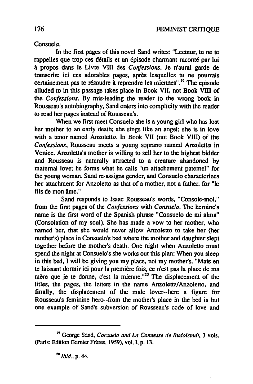Consuela.

In the first pages of this novel Sand writes: "Lecteur, tu ne te rappelles que trop ces détails et un épisode channant raconté par lui à propos dans le Livre VIII des *Confessions.* Je n'aurai garde de transcrire ici ces adorables pages, après lesquelles tu ne pourrais certainement pas te résoudre à reprendre les miennes".<sup>19</sup> The episode alluded 10 in this passage takes place in Book VU, not Book VIII of the *Confessions.* By mis-Ieading the reader to the wrong book in Rousseau's autobiography, Sand enters into complicity with the reader to read her pages instead of Rousseau's.

When we first meet Consuelo she is a young girl who has lost her mother to an early death; she sings Iike an angel; she is in love with a tenor named Anzoletto. In Book VII (not Book VIII) of the *Confessions.* Rousseau meets a young soprano named Anzoletta in Venice. Anzoletta's mother is willing to sell her to the highest bidder and Rousseau is naturally attracted to a creature abandoned by maternal love; he forms what he calls "un attachement paternel" for the young woman. Sand re-assigns gender. and Consuelo characterizes her attachment for Anzoletto as that of a mother. not a father, for "le fils de mon âme."

Sand responds to Isaac Rousseau's words, "Console-moi." from the first pages of the *Confessions* with *Consuelo.* The heroine's name is the first word of the Spanish phrase "Consuelo de mi alma" (Consolation of my soul). She has made a vow to her mother, who named her. that she would never allow Anzoletto to take her (her mother's) place in Consuelo's bed where the mother and daughler slept together before the mother's death. One night when Anzoletto must spend the night at Consuelo's she works out this plan: When you sleep in this bed, 1 will he giving you my place, not my mother's. "Mais en te laissant donnir ici pour la première fois, ce n'est pas la place de ma mère que je te donne, c'est la mienne."<sup>20</sup> The displacement of the titles, the pages, the letters in the name Anzoletta/Anzoletto, and finally, the displacement of the male lover--here a figure for Rousseau's feminine hero--from the mother's place in the bed is but one example of Sand's subversion of Rousseau's code of love and

<sup>19</sup> George Sand. *Consuelo and* La *Comtesse de Rudolstadt.* 3 vols. (paris: Edition Garnier Frères. 1959), vol. J. p. 13.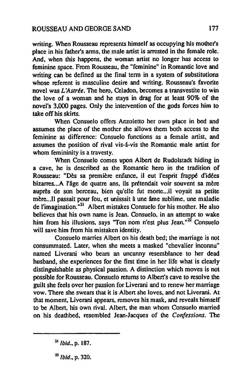writing. When Rousseau represents himself as occupying his mother's place in his father's arms, the male artist is arrested in the female role. And. when this happens, the woman artist no longer has access to feminine space. From Rousseau, the "feminine" in Romantic love and writing can be defined as the final term in a system of substitutions whose referent is masculine desire and writing. Rousseau's favorite novel was *L'Astrée.* The hem, Celadon. becomes a transvestite to win the love of a woman and he stays in drag for at least 90% of the novel's 3,000 pages. OnJy the intervention of the gods forces him to take off his skirts.

When Consuelo offers Anzoletto her own place in bed and assumes the place of the mother she allows them both access to the feminine as difference: Consuelo functions as a female artist, and assumes the position of rival vis-â-vis the Romantic male artist for whom femininity is a travesty.

When Consuelo comes upon Albert de Rudolstadt hiding in a cave, he is described as the Romanlic hero in the tradition of Rousseau: "Dès sa première enfance. il eut l'esprit frappé d'idées bizarres... A l'âge de quatre ans, ils prétendait voir souvent sa mère auprès de son berceau, bien qu'elle fut morte...il voyait sa petite mère...Il passait pour fou, et unissait à une âme sublime, une maladie de l'imagination."21 Albert mistakes Consuelo for his mother. He also believes that his own name is Jean. Consuelo, in an attempt to wake him from his illusions, says "Ton nom n'est plus Jean." $2^2$  Consuelo will save him from his mistaken identity.

Consuelo marries Albert on his death bed; the marriage is not consummated. Later, when she meets a masked "chevalier inconnu" named Liverani who bears an uncanny resemblance to her dead husband, she experiences for the first time in her life what is clearly distinguishable as physical passion. A distinction which moves is not possible for Rousseau. Consuelo returns to Albert's cave to resolve the guilt she feels over her passion for Liverani and tO renew her marriage vow. There she swears thal it is Albert she loves, and not Liverani. At that moment, Liverani appears, removes his mask, and reveals himself to be Albert, his own rival. Albert, the man whom Consuelo married on his deathbed, resembled Jean-Jacques of the *Confessions.* The

 $^{22}$  *Ibid.*, p. 320.

<sup>&</sup>lt;sup>21</sup> *Ibid.*, p. 187.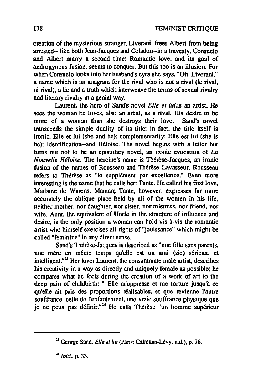creation of the mysterious stranger, Liverani, frees Albert from being arrested--like both Jean-Jacques and Celadon--in a travesty. Consuelo and Albert marry a second time: Romantic love, and its goal of androgynous fusion, seems to conquer. But this too is an illusion. For when Consuelo looks into her husband's eyes she says, "Oh, Liverani," a name which is an anagram for the rival who is not a rival (le rival, ni rival), a lie and a truth which interweave the lerms of sexual rivalry and literary rivalry in a genial way.

Laurent, the hero of Sand's novel *Elle et lui,is* an artist. He sees the woman he loves. also an artist, as a rival. His desire to be more of a woman than she destroys their love. Sand's novel transcends the simple duality of its title: in fact, the title itself is ironic. Elle et lui (she and he): complementarity; Elle est lui (she is he): identification--and Héloise. The novel begins with a letter but tums out not to he an epistolary novel, an ironie evocation of *La Nouvelle Hé/oise.* The heroine's name is Thérèse-Jacques, an ironie fusion of the names of Rousseau and Thérèse Lavasseur. Rousseau refers to Thérèse as "le supplément par excellence." Even more interesting is the name that he calls her: Tante. He called bis first love, Madame de Warens, Maman; Tante, however, expresses far more accurately the oblique place held by ail of the women in his life, neither mother, nor daughter, nor sister, nor mistress, nor friend, nor wife. Aunt, the equivalent of Uncle in the structure of influence and desire, is the only position a woman can hold vis-à-vis the romantic anist who himself exercises all rights of "jouissance" wbich might be called "feminine" in any direct sense.

Sand's Thérèse-Jacques is described as "une fille sans parents, une mère en même temps qu'elle est un ami (sic) sérieux, et  $int$ intelligent."<sup>23</sup> Her lover Laurent, the consummate male artist, describes bis creativity in a way as directly and uniquely female as possible; he compares what he feels during the creation of a work of art to the deep pain of childbirth: " Elle m'oppresse et me torture jusqu'à ce qu'elle ait pris des proportions réalisables, et que revienne l'autre souffrance, celle de l'enfantement, une vraie souffrance physique que je ne peux pas définir."<sup>24</sup> He calls Thérèse "un homme supérieur

<sup>23</sup> George Sand. *Elle* el *lui* (paris: Calmann-Lévy, n.d.), p. 76.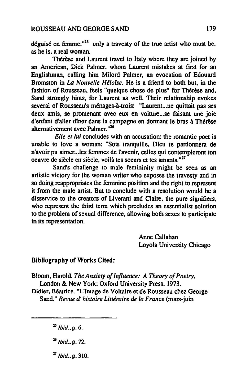#### ROUSSEAU AND GEORGE SAND 179

déguisé en femme: $n^{25}$  only a travesty of the true artist who must be, as he is, a real woman.

Thérèse and Laurent travel to Italy where they are joined by an American, Dick Palmer, whom Laurent mistakes at first for an Englishman, calling him Milord Palmer, an evocation of Edouard Bromston in *LA Nouvelle Hé/orse.* He is a friend to both but, in the fashion of Rousseau, feels "quelque chose de plus" for Thérèse and. Sand strongly hints, for Laurent as weil. Their relationship evokes several of Rousseau's ménages-à-trois: "Laurent...ne quittait pas ses deux amis, se promenant avec eux en voiture... se faisant une joie d'enfant d'aller dîner dans la campagne en donnant le bras à Thérèse alternativement avec Palmer."<sup>26</sup>

*Elle et lui* concludes with an accusation: the romantic poet is unable to love a woman: "Sois tranquille. Dieu te pardonnera de n'avoir pu aimer...les femmes de l'avenir, celles qui contempleront ton oeuvre de siècle en siècle, voilà tes soeurs et tes amants."<sup>27</sup>

Sand's challenge to male femininity might be seen as an artistic victory for the woman writer who exposes the travesty and in so doing reappropriates the feminine position and the right to represent it from the male artist. But to conclude with a resolution would he a disservice to the creators of Liverani and Claire, the pure signifiers. who represent the third term which precludes an essentialist solution to the problem of sexual difference. allowing both sexes to participate in its representation.

> Anne Callahan Loyola University Chicago

### Bibliography of Works Cited:

Bloom, Harold. *The Anxiety of Influence: A Theory of Poetry.*  London & New York: Oxford University Press, 1973.

Didier, Béatrice. "L'Image de Voltaire et de Rousseau chez George Sand." *Revue d"histoire Littéraire de la France* (mars·juin

<sup>25</sup> *Ibid.*, p. 6.

- <sup>26</sup> *Ibid.*, p. 72.
- *21 Ibid .•* p. 310.